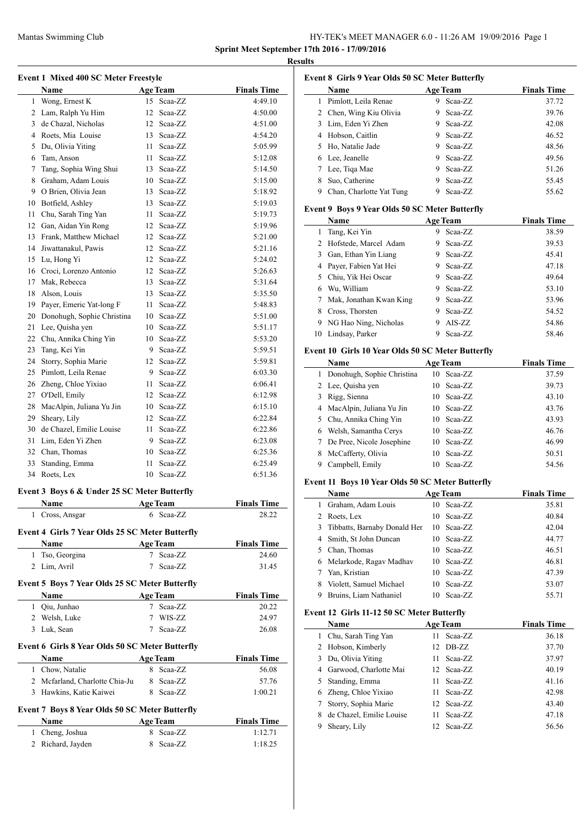# Mantas Swimming Club HY-TEK's MEET MANAGER 6.0 - 11:26 AM 19/09/2016 Page 1 **Sprint Meet September 17th 2016 - 17/09/2016**

**Results**

 $\sim$ 

 $\overline{\phantom{0}}$ 

| Name                       |    |         | <b>Finals Time</b> |
|----------------------------|----|---------|--------------------|
| Wong, Ernest K             | 15 | Scaa-ZZ | 4:49.10            |
| Lam, Ralph Yu Him          | 12 | Scaa-ZZ | 4:50.00            |
| de Chazal, Nicholas        | 12 | Scaa-ZZ | 4:51.00            |
| Roets, Mia Louise          | 13 | Scaa-ZZ | 4:54.20            |
| Du, Olivia Yiting          | 11 | Scaa-ZZ | 5:05.99            |
| Tam, Anson                 | 11 | Scaa-ZZ | 5:12.08            |
| Tang, Sophia Wing Shui     | 13 | Scaa-ZZ | 5:14.50            |
| Graham, Adam Louis         | 10 | Scaa-ZZ | 5:15.00            |
| O Brien, Olivia Jean       | 13 | Scaa-ZZ | 5:18.92            |
| Botfield, Ashley           | 13 | Scaa-ZZ | 5:19.03            |
| Chu, Sarah Ting Yan        | 11 | Scaa-ZZ | 5:19.73            |
| Gan, Aidan Yin Rong        | 12 | Scaa-ZZ | 5:19.96            |
| Frank, Matthew Michael     | 12 | Scaa-ZZ | 5:21.00            |
| Jiwattanakul, Pawis        | 12 | Scaa-ZZ | 5:21.16            |
| Lu, Hong Yi                | 12 | Scaa-ZZ | 5:24.02            |
| Croci, Lorenzo Antonio     | 12 | Scaa-ZZ | 5:26.63            |
| Mak, Rebecca               | 13 | Scaa-ZZ | 5:31.64            |
| Alson, Louis               | 13 | Scaa-ZZ | 5:35.50            |
| Payer, Emeric Yat-long F   | 11 | Scaa-ZZ | 5:48.83            |
| Donohugh, Sophie Christina | 10 | Scaa-ZZ | 5:51.00            |
| Lee, Quisha yen            | 10 | Scaa-ZZ | 5:51.17            |
| Chu, Annika Ching Yin      | 10 | Scaa-ZZ | 5:53.20            |
| Tang, Kei Yin              | 9  | Scaa-ZZ | 5:59.51            |
| Storry, Sophia Marie       | 12 | Scaa-ZZ | 5:59.81            |
| Pimlott, Leila Renae       | 9  | Scaa-ZZ | 6:03.30            |
| Zheng, Chloe Yixiao        | 11 | Scaa-ZZ | 6:06.41            |
| O'Dell, Emily              | 12 | Scaa-ZZ | 6:12.98            |
| MacAlpin, Juliana Yu Jin   | 10 | Scaa-ZZ | 6:15.10            |
| Sheary, Lily               | 12 | Scaa-ZZ | 6:22.84            |
| de Chazel, Emilie Louise   | 11 | Scaa-ZZ | 6:22.86            |
| Lim, Eden Yi Zhen          | 9  | Scaa-ZZ | 6:23.08            |
| Chan, Thomas               | 10 | Scaa-ZZ | 6:25.36            |
| Standing, Emma             | 11 | Scaa-ZZ | 6:25.49            |
| Roets, Lex                 | 10 | Scaa-ZZ | 6:51.36            |
|                            |    |         | Age Team           |

# **Event 3 Boys 6 & Under 25 SC Meter Butterfly**

|                | Name                                                  | <b>Age Team</b> | <b>Finals Time</b> |
|----------------|-------------------------------------------------------|-----------------|--------------------|
| 1              | Cross, Ansgar                                         | 6 Scaa-ZZ       | 28.22              |
|                | Event 4 Girls 7 Year Olds 25 SC Meter Butterfly       |                 |                    |
|                | Name                                                  | <b>Age Team</b> | <b>Finals Time</b> |
| 1              | Tso, Georgina                                         | Scaa-ZZ<br>7    | 24.60              |
| 2              | Lim, Avril                                            | Scaa-ZZ<br>7    | 31.45              |
|                | <b>Event 5 Boys 7 Year Olds 25 SC Meter Butterfly</b> |                 |                    |
|                | Name                                                  | <b>Age Team</b> | <b>Finals Time</b> |
| 1              | Qiu, Junhao                                           | Scaa-ZZ<br>7    | 20.22              |
| 2              | Welsh, Luke                                           | WIS-ZZ<br>7     | 24.97              |
| 3              | Luk, Sean                                             | Scaa-ZZ<br>7    | 26.08              |
|                | Event 6 Girls 8 Year Olds 50 SC Meter Butterfly       |                 |                    |
|                | Name                                                  | <b>Age Team</b> | <b>Finals Time</b> |
| 1              | Chow, Natalie                                         | Scaa-ZZ<br>8    | 56.08              |
| $\overline{c}$ | Mcfarland, Charlotte Chia-Ju                          | Scaa-ZZ<br>8    | 57.76              |
| 3              | Hawkins, Katie Kaiwei                                 | Scaa-ZZ<br>8    | 1:00.21            |
|                | <b>Event 7 Boys 8 Year Olds 50 SC Meter Butterfly</b> |                 |                    |
|                | Name                                                  | <b>Age Team</b> | <b>Finals Time</b> |
| 1              | Cheng, Joshua                                         | Scaa-ZZ<br>8    | 1:12.71            |
| $\mathfrak{D}$ | Richard, Jayden                                       | Scaa-ZZ<br>8    | 1:18.25            |

|   | <b>Name</b>              |   | <b>Age Team</b> | <b>Finals Time</b> |
|---|--------------------------|---|-----------------|--------------------|
| 1 | Pimlott, Leila Renae     | 9 | Scaa-ZZ         | 37.72              |
|   | 2 Chen, Wing Kiu Olivia  | 9 | Scaa-ZZ         | 39.76              |
|   | 3 Lim, Eden Yi Zhen      | 9 | Scaa-ZZ         | 42.08              |
| 4 | Hobson, Caitlin          | 9 | Scaa-ZZ         | 46.52              |
|   | 5 Ho, Natalie Jade       | 9 | Scaa-ZZ         | 48.56              |
|   | 6 Lee, Jeanelle          | 9 | Scaa-ZZ         | 49.56              |
|   | 7 Lee, Tiga Mae          | 9 | Scaa-ZZ         | 51.26              |
| 8 | Suo, Catherine           | 9 | Scaa-ZZ         | 55.45              |
| 9 | Chan, Charlotte Yat Tung | 9 | Scaa-ZZ         | 55.62              |

### **Event 9 Boys 9 Year Olds 50 SC Meter Butterfly**

|    | Name                    | <b>Age Team</b> | <b>Finals Time</b> |
|----|-------------------------|-----------------|--------------------|
| 1  | Tang, Kei Yin           | Scaa-ZZ<br>9    | 38.59              |
| 2  | Hofstede, Marcel Adam   | Scaa-ZZ<br>9    | 39.53              |
| 3  | Gan, Ethan Yin Liang    | Scaa-ZZ<br>9    | 45.41              |
| 4  | Payer, Fabien Yat Hei   | Scaa-ZZ<br>9    | 47.18              |
| 5. | Chiu, Yik Hei Oscar     | Scaa-ZZ<br>9    | 49.64              |
| 6  | Wu, William             | Scaa-ZZ<br>9    | 53.10              |
| 7  | Mak, Jonathan Kwan King | Scaa-ZZ<br>9    | 53.96              |
| 8  | Cross, Thorsten         | Scaa-ZZ<br>9    | 54.52              |
| 9  | NG Hao Ning, Nicholas   | AIS-ZZ<br>9     | 54.86              |
|    | 10 Lindsay, Parker      | Scaa-ZZ<br>9    | 58.46              |

# **Event 10 Girls 10 Year Olds 50 SC Meter Butterfly**

|    | <b>Name</b>                | <b>Age Team</b> | <b>Finals Time</b> |
|----|----------------------------|-----------------|--------------------|
| 1. | Donohugh, Sophie Christina | 10 Scaa-ZZ      | 37.59              |
|    | 2 Lee, Quisha yen          | Scaa-ZZ<br>10.  | 39.73              |
|    | 3 Rigg, Sienna             | 10 Scaa-ZZ      | 43.10              |
|    | 4 MacAlpin, Juliana Yu Jin | $10$ Scaa-ZZ    | 43.76              |
|    | 5 Chu, Annika Ching Yin    | $10$ Scaa-ZZ    | 43.93              |
| 6  | Welsh, Samantha Cerys      | $10$ Scaa-ZZ    | 46.76              |
|    | De Pree, Nicole Josephine  | Scaa-ZZ<br>10.  | 46.99              |
| 8  | McCafferty, Olivia         | Scaa-ZZ<br>10   | 50.51              |
| 9  | Campbell, Emily            | Scaa-ZZ<br>10   | 54.56              |

# **Event 11 Boys 10 Year Olds 50 SC Meter Butterfly**

|    | <b>Name</b>                    | <b>Age Team</b> | <b>Finals Time</b> |
|----|--------------------------------|-----------------|--------------------|
| L  | Graham, Adam Louis             | 10 Scaa-ZZ      | 35.81              |
| 2  | Roets, Lex                     | Scaa-ZZ<br>10.  | 40.84              |
|    | 3 Tibbatts, Barnaby Donald Her | Scaa-ZZ<br>10   | 42.04              |
|    | 4 Smith, St John Duncan        | 10 Scaa-ZZ      | 44.77              |
| 5. | Chan, Thomas                   | Scaa-ZZ<br>10.  | 46.51              |
|    | 6 Melarkode, Ragav Madhav      | 10 Scaa-ZZ      | 46.81              |
|    | 7 Yan, Kristian                | Scaa-ZZ<br>10   | 47.39              |
| 8  | Violett, Samuel Michael        | $10$ Scaa-ZZ    | 53.07              |
|    | Bruins, Liam Nathaniel         | Scaa-ZZ<br>10   | 55.71              |

# **Event 12 Girls 11-12 50 SC Meter Butterfly**

|   | Name                     | <b>Age Team</b> | <b>Finals Time</b> |
|---|--------------------------|-----------------|--------------------|
| 1 | Chu, Sarah Ting Yan      | Scaa-ZZ<br>11.  | 36.18              |
|   | 2 Hobson, Kimberly       | 12 DB-ZZ        | 37.70              |
|   | 3 Du, Olivia Yiting      | 11 Scaa-ZZ      | 37.97              |
|   | 4 Garwood, Charlotte Mai | 12 Scaa-ZZ      | 40.19              |
|   | 5 Standing, Emma         | Scaa-ZZ<br>11   | 41.16              |
| 6 | Zheng, Chloe Yixiao      | Scaa-ZZ<br>11.  | 42.98              |
|   | Storry, Sophia Marie     | 12 Scaa-ZZ      | 43.40              |
|   | de Chazel, Emilie Louise | 11 Scaa-ZZ      | 47.18              |
|   | Sheary, Lily             | 12 Scaa-ZZ      | 56.56              |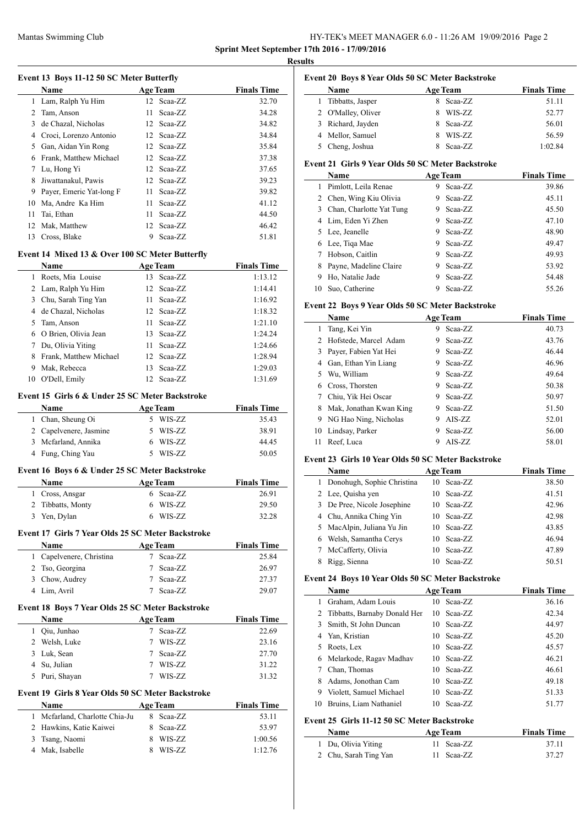### Mantas Swimming Club HY-TEK's MEET MANAGER 6.0 - 11:26 AM 19/09/2016 Page 2 **Sprint Meet September 17th 2016 - 17/09/2016**

**Results**

 $\sim$ 

 $\overline{\phantom{a}}$ 

#### **Event 13 Boys 11-12 50 SC Meter Butterfly**

|    | <b>Name</b>              |     | <b>Age Team</b> | <b>Finals Time</b> |
|----|--------------------------|-----|-----------------|--------------------|
|    | 1 Lam, Ralph Yu Him      |     | 12 Scaa-ZZ      | 32.70              |
| 2  | Tam, Anson               | 11. | Scaa-ZZ         | 34.28              |
| 3  | de Chazal, Nicholas      |     | 12 Scaa-ZZ      | 34.82              |
| 4  | Croci, Lorenzo Antonio   |     | 12 Scaa-ZZ      | 34.84              |
| 5  | Gan, Aidan Yin Rong      |     | 12 Scaa-ZZ      | 35.84              |
| 6  | Frank, Matthew Michael   |     | 12 Scaa-ZZ      | 37.38              |
|    | Lu, Hong Yi              |     | 12 Scaa-ZZ      | 37.65              |
| 8  | Jiwattanakul, Pawis      |     | 12 Scaa-ZZ      | 39.23              |
| 9  | Payer, Emeric Yat-long F | 11  | Scaa-ZZ         | 39.82              |
| 10 | Ma, Andre Ka Him         | 11- | Scaa-ZZ         | 41.12              |
| 11 | Tai, Ethan               | 11. | Scaa-ZZ         | 44.50              |
| 12 | Mak, Matthew             |     | 12 Scaa-ZZ      | 46.42              |
| 13 | Cross, Blake             | 9   | Scaa-ZZ         | 51.81              |
|    |                          |     |                 |                    |

# **Event 14 Mixed 13 & Over 100 SC Meter Butterfly**

|    | <b>Name</b>            |     | <b>Age Team</b> | <b>Finals Time</b> |
|----|------------------------|-----|-----------------|--------------------|
|    | Roets, Mia Louise      |     | 13 Scaa-ZZ      | 1:13.12            |
|    | 2 Lam, Ralph Yu Him    |     | 12 Scaa-ZZ      | 1:14.41            |
| 3  | Chu, Sarah Ting Yan    | 11  | Scaa-ZZ         | 1:16.92            |
|    | 4 de Chazal, Nicholas  |     | $12$ Scaa-ZZ    | 1:18.32            |
| 5. | Tam, Anson             | 11  | Scaa-ZZ         | 1:21.10            |
|    | 6 O Brien, Olivia Jean | 13. | Scaa-ZZ         | 1:24.24            |
|    | Du, Olivia Yiting      | 11  | Scaa-ZZ         | 1:24.66            |
| 8  | Frank, Matthew Michael |     | $12$ Scaa-ZZ    | 1:28.94            |
| 9  | Mak, Rebecca           | 13  | Scaa-ZZ         | 1:29.03            |
| 10 | O'Dell, Emily          |     | $12$ Scaa-ZZ    | 1:31.69            |

#### **Event 15 Girls 6 & Under 25 SC Meter Backstroke**

| <b>Name</b>            | <b>Age Team</b> | <b>Finals Time</b> |
|------------------------|-----------------|--------------------|
| 1 Chan, Sheung Oi      | 5 WIS-ZZ        | 35.43              |
| 2 Capelvenere, Jasmine | 5 WIS-ZZ        | 38.91              |
| 3 Mcfarland, Annika    | 6 WIS-ZZ        | 44.45              |
| 4 Fung, Ching Yau      | 5 WIS-ZZ        | 50.05              |

#### **Event 16 Boys 6 & Under 25 SC Meter Backstroke**

| <b>Name</b>       | Age Team  | <b>Finals Time</b> |
|-------------------|-----------|--------------------|
| 1 Cross, Ansgar   | 6 Scaa-ZZ | 26.91              |
| 2 Tibbatts, Monty | 6 WIS-ZZ  | 29.50              |
| 3 Yen, Dylan      | 6 WIS-ZZ  | 32.28              |

#### **Event 17 Girls 7 Year Olds 25 SC Meter Backstroke**

| <b>Name</b>              | <b>Age Team</b> | <b>Finals Time</b> |
|--------------------------|-----------------|--------------------|
| 1 Capelvenere, Christina | Scaa-ZZ         | 25.84              |
| 2 Tso, Georgina          | Scaa-ZZ         | 26.97              |
| 3 Chow, Audrey           | Scaa-ZZ         | 27.37              |
| 4 Lim, Avril             | Scaa-ZZ         | 29.07              |

#### **Event 18 Boys 7 Year Olds 25 SC Meter Backstroke**

| <b>Name</b>        | <b>Age Team</b> | <b>Finals Time</b> |
|--------------------|-----------------|--------------------|
| 1 Oiu, Junhao      | Scaa-ZZ         | 22.69              |
| 2 Welsh, Luke      | WIS-ZZ          | 23.16              |
| 3 Luk, Sean        | Scaa-ZZ         | 27.70              |
| 4 Su, Julian       | WIS-ZZ          | 31.22              |
| Puri, Shayan<br>5. | WIS-ZZ          | 31.32              |

#### **Event 19 Girls 8 Year Olds 50 SC Meter Backstroke**

| <b>Name</b>                    | <b>Age Team</b> | <b>Finals Time</b> |
|--------------------------------|-----------------|--------------------|
| 1 Mcfarland, Charlotte Chia-Ju | 8 Scaa-ZZ       | 53.11              |
| 2 Hawkins, Katie Kaiwei        | 8 Scaa-ZZ       | 53.97              |
| 3 Tsang, Naomi                 | 8 WIS-ZZ        | 1:00.56            |
| Mak, Isabelle                  | WIS-ZZ          | 1:12.76            |

# **Event 20 Boys 8 Year Olds 50 SC Meter Backstroke Name Age Team Finals Time** 1 Tibbatts, Jasper 8 Scaa-ZZ 51.11<br>2 O'Malley, Oliver 8 WIS-ZZ 52.77 2 O'Malley, Oliver 8 WIS-ZZ 52.77 3 Richard, Jayden 8 Scaa-ZZ 56.01 4 Mellor, Samuel 8 WIS-ZZ 56.59

Cheng, Joshua 8 Scaa-ZZ 1:02.84

#### **Event 21 Girls 9 Year Olds 50 SC Meter Backstroke**

|    | Name                     |    | <b>Age Team</b> | <b>Finals Time</b> |
|----|--------------------------|----|-----------------|--------------------|
| 1  | Pimlott, Leila Renae     | 9. | Scaa-ZZ         | 39.86              |
| 2  | Chen, Wing Kiu Olivia    | 9  | Scaa-ZZ         | 45.11              |
| 3  | Chan, Charlotte Yat Tung | 9  | Scaa-ZZ         | 45.50              |
| 4  | Lim, Eden Yi Zhen        | 9  | Scaa-ZZ         | 47.10              |
|    | 5 Lee, Jeanelle          | 9  | Scaa-ZZ         | 48.90              |
| 6  | Lee, Tiga Mae            | 9  | Scaa-ZZ         | 49.47              |
| 7  | Hobson, Caitlin          | 9  | Scaa-ZZ         | 49.93              |
| 8  | Payne, Madeline Claire   | 9  | Scaa-ZZ         | 53.92              |
| 9  | Ho, Natalie Jade         | 9  | Scaa-ZZ         | 54.48              |
| 10 | Suo, Catherine           | 9  | Scaa-ZZ         | 55.26              |

#### **Event 22 Boys 9 Year Olds 50 SC Meter Backstroke**

|    | Name                    |   | <b>Age Team</b> | <b>Finals Time</b> |
|----|-------------------------|---|-----------------|--------------------|
| 1  | Tang, Kei Yin           | 9 | Scaa-ZZ         | 40.73              |
|    | 2 Hofstede, Marcel Adam | 9 | Scaa-ZZ         | 43.76              |
| 3  | Payer, Fabien Yat Hei   | 9 | Scaa-ZZ         | 46.44              |
| 4  | Gan, Ethan Yin Liang    | 9 | Scaa-ZZ         | 46.96              |
| 5  | Wu, William             | 9 | Scaa-ZZ         | 49.64              |
| 6  | Cross, Thorsten         | 9 | Scaa-ZZ         | 50.38              |
|    | Chiu, Yik Hei Oscar     | 9 | Scaa-ZZ         | 50.97              |
| 8  | Mak, Jonathan Kwan King | 9 | Scaa-ZZ         | 51.50              |
| 9  | NG Hao Ning, Nicholas   | 9 | AIS-ZZ          | 52.01              |
| 10 | Lindsay, Parker         | 9 | Scaa-ZZ         | 56.00              |
| 11 | Reef, Luca              | 9 | AIS-ZZ          | 58.01              |

#### **Event 23 Girls 10 Year Olds 50 SC Meter Backstroke**

|    | Name                       | <b>Age Team</b> | <b>Finals Time</b> |
|----|----------------------------|-----------------|--------------------|
| 1  | Donohugh, Sophie Christina | Scaa-ZZ<br>10   | 38.50              |
|    | 2 Lee, Quisha yen          | Scaa-ZZ<br>10   | 41.51              |
| 3  | De Pree, Nicole Josephine  | 10 Scaa-ZZ      | 42.96              |
| 4  | Chu, Annika Ching Yin      | 10 Scaa-ZZ      | 42.98              |
| 5. | MacAlpin, Juliana Yu Jin   | 10 Scaa-ZZ      | 43.85              |
| 6  | Welsh, Samantha Cerys      | 10 Scaa-ZZ      | 46.94              |
|    | McCafferty, Olivia         | Scaa-ZZ<br>10   | 47.89              |
|    | Rigg, Sienna               | Scaa-ZZ<br>10   | 50.51              |

#### **Event 24 Boys 10 Year Olds 50 SC Meter Backstroke**

|    | Name                           |    | <b>Age Team</b> | <b>Finals Time</b> |
|----|--------------------------------|----|-----------------|--------------------|
|    | Graham, Adam Louis             |    | $10$ Scaa-ZZ    | 36.16              |
|    | 2 Tibbatts, Barnaby Donald Her |    | $10$ Scaa-ZZ    | 42.34              |
| 3  | Smith, St John Duncan          |    | $10$ Scaa-ZZ    | 44.97              |
| 4  | Yan, Kristian                  |    | $10$ Scaa-ZZ    | 45.20              |
| 5. | Roets, Lex                     |    | $10$ Scaa-ZZ    | 45.57              |
| 6  | Melarkode, Ragav Madhav        |    | $10$ Scaa-ZZ    | 46.21              |
|    | Chan, Thomas                   |    | $10$ Scaa-ZZ    | 46.61              |
| 8  | Adams, Jonothan Cam            |    | 10 Scaa-ZZ      | 49.18              |
| 9  | Violett, Samuel Michael        |    | $10$ Scaa-ZZ    | 51.33              |
| 10 | Bruins, Liam Nathaniel         | 10 | Scaa-ZZ         | 51.77              |

#### **Event 25 Girls 11-12 50 SC Meter Backstroke**

| <b>Name</b>           | <b>Age Team</b> | <b>Finals Time</b> |
|-----------------------|-----------------|--------------------|
| 1 Du, Olivia Yiting   | 11 Scaa-ZZ      | 37.11              |
| 2 Chu, Sarah Ting Yan | 11 Scaa-ZZ      | 37.27              |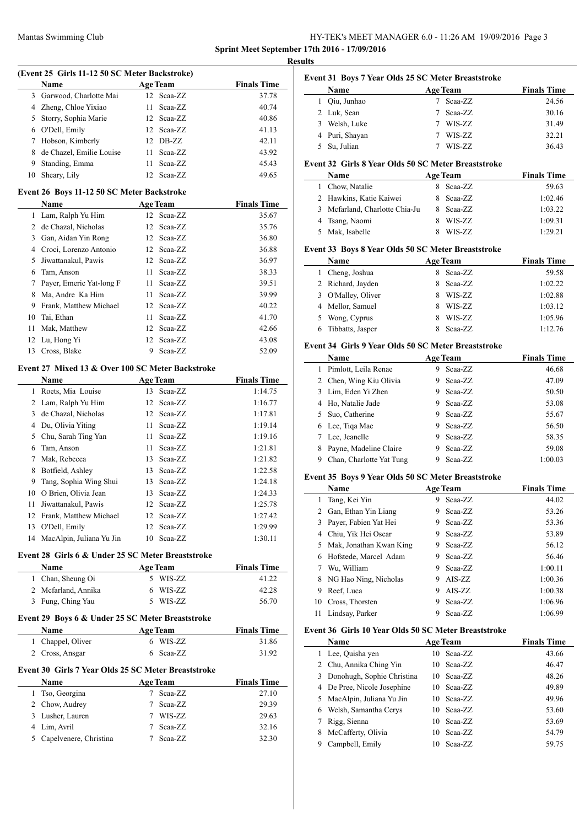# Mantas Swimming Club HY-TEK's MEET MANAGER 6.0 - 11:26 AM 19/09/2016 Page 3 **Sprint Meet September 17th 2016 - 17/09/2016**

**Results**

 $\overline{\phantom{0}}$ 

 $\overline{\phantom{a}}$ 

| (Event 25 Girls 11-12 50 SC Meter Backstroke) |
|-----------------------------------------------|
|-----------------------------------------------|

|    | <b>Name</b>              | <b>Age Team</b>   | <b>Finals Time</b> |
|----|--------------------------|-------------------|--------------------|
|    | 3 Garwood, Charlotte Mai | 12 Scaa-ZZ        | 37.78              |
|    | 4 Zheng, Chloe Yixiao    | Scaa-ZZ<br>11.    | 40.74              |
|    | 5 Storry, Sophia Marie   | 12 Scaa-ZZ        | 40.86              |
| 6. | O'Dell, Emily            | 12 Scaa-ZZ        | 41.13              |
|    | 7 Hobson, Kimberly       | 12 DB-ZZ          | 42.11              |
| 8  | de Chazel, Emilie Louise | Scaa-ZZ<br>11.    | 43.92              |
| 9  | Standing, Emma           | Scaa-ZZ<br>11     | 45.43              |
| 10 | Sheary, Lily             | Scaa-ZZ<br>$12 -$ | 49.65              |

#### **Event 26 Boys 11-12 50 SC Meter Backstroke**

|                | <b>Name</b>              |    | <b>Age Team</b> | <b>Finals Time</b> |
|----------------|--------------------------|----|-----------------|--------------------|
| 1              | Lam, Ralph Yu Him        |    | 12 Scaa-ZZ      | 35.67              |
| $\mathfrak{D}$ | de Chazal, Nicholas      |    | $12$ Scaa-ZZ    | 35.76              |
| 3              | Gan, Aidan Yin Rong      |    | $12$ Scaa-ZZ    | 36.80              |
| 4              | Croci, Lorenzo Antonio   |    | $12$ Scaa-ZZ    | 36.88              |
| 5              | Jiwattanakul, Pawis      |    | $12$ Scaa-ZZ    | 36.97              |
| 6              | Tam, Anson               | 11 | Scaa-ZZ         | 38.33              |
| 7              | Payer, Emeric Yat-long F | 11 | Scaa-ZZ         | 39.51              |
| 8              | Ma, Andre Ka Him         | 11 | Scaa-ZZ         | 39.99              |
| 9              | Frank, Matthew Michael   |    | 12 Scaa-ZZ      | 40.22              |
| 10             | Tai, Ethan               | 11 | Scaa-ZZ         | 41.70              |
| 11             | Mak, Matthew             |    | 12 Scaa-ZZ      | 42.66              |
| 12             | Lu, Hong Yi              |    | 12 Scaa-ZZ      | 43.08              |
| 13             | Cross, Blake             | 9  | Scaa-ZZ         | 52.09              |

# **Event 27 Mixed 13 & Over 100 SC Meter Backstroke**

|    | <b>Name</b>              | <b>Age Team</b> | <b>Finals Time</b> |
|----|--------------------------|-----------------|--------------------|
| 1  | Roets, Mia Louise        | 13 Scaa-ZZ      | 1:14.75            |
| 2  | Lam, Ralph Yu Him        | 12 Scaa-ZZ      | 1:16.77            |
| 3  | de Chazal, Nicholas      | 12 Scaa-ZZ      | 1:17.81            |
| 4  | Du, Olivia Yiting        | Scaa-ZZ<br>11   | 1:19.14            |
| 5  | Chu, Sarah Ting Yan      | Scaa-ZZ<br>11.  | 1:19.16            |
| 6  | Tam, Anson               | 11<br>Scaa-ZZ   | 1:21.81            |
| 7  | Mak, Rebecca             | Scaa-ZZ<br>13   | 1:21.82            |
| 8  | Botfield, Ashley         | Scaa-ZZ<br>13   | 1:22.58            |
| 9  | Tang, Sophia Wing Shui   | 13 Scaa-ZZ      | 1:24.18            |
| 10 | O Brien, Olivia Jean     | 13 Scaa-ZZ      | 1:24.33            |
| 11 | Jiwattanakul, Pawis      | 12 Scaa-ZZ      | 1:25.78            |
| 12 | Frank, Matthew Michael   | 12 Scaa-ZZ      | 1:27.42            |
| 13 | O'Dell, Emily            | 12 Scaa-ZZ      | 1:29.99            |
| 14 | MacAlpin, Juliana Yu Jin | 10<br>Scaa-ZZ   | 1:30.11            |

#### **Event 28 Girls 6 & Under 25 SC Meter Breaststroke**

| <b>Name</b>         | <b>Age Team</b> | <b>Finals Time</b> |
|---------------------|-----------------|--------------------|
| 1 Chan, Sheung Oi   | 5 WIS-ZZ        | 41.22              |
| 2 Mcfarland, Annika | 6 WIS-ZZ        | 42.28              |
| 3 Fung, Ching Yau   | 5 WIS-ZZ        | 56.70              |

# **Event 29 Boys 6 & Under 25 SC Meter Breaststroke**

| <b>Name</b>       | <b>Age Team</b> | <b>Finals Time</b> |
|-------------------|-----------------|--------------------|
| 1 Chappel, Oliver | 6 WIS-ZZ        | 31.86              |
| 2 Cross, Ansgar   | 6 Scaa-ZZ       | 31.92              |

#### **Event 30 Girls 7 Year Olds 25 SC Meter Breaststroke**

| <b>Name</b>              | <b>Age Team</b> | <b>Finals Time</b> |
|--------------------------|-----------------|--------------------|
| 1 Tso, Georgina          | Scaa-ZZ         | 27.10              |
| 2 Chow, Audrey           | Scaa-ZZ         | 29.39              |
| 3 Lusher, Lauren         | WIS-ZZ          | 29.63              |
| 4 Lim, Avril             | 7 Scaa-ZZ       | 32.16              |
| 5 Capelvenere, Christina | Scaa-ZZ         | 32.30              |

#### **Event 31 Boys 7 Year Olds 25 SC Meter Breaststroke Name Age Team Finals Time**

| 1 Oiu, Junhao  | Scaa-ZZ       | 24.56 |
|----------------|---------------|-------|
| 2 Luk, Sean    | Scaa-ZZ       | 30.16 |
| 3 Welsh, Luke  | <b>WIS-ZZ</b> | 31.49 |
| 4 Puri, Shayan | WIS-ZZ        | 32.21 |
| 5 Su, Julian   | WIS-ZZ        | 36.43 |

#### **Event 32 Girls 8 Year Olds 50 SC Meter Breaststroke**

| <b>Name</b>                    |    | <b>Age Team</b> | <b>Finals Time</b> |
|--------------------------------|----|-----------------|--------------------|
| 1 Chow, Natalie                | 8. | Scaa-ZZ         | 59.63              |
| 2 Hawkins, Katie Kaiwei        |    | 8 Scaa-ZZ       | 1:02.46            |
| 3 Mcfarland, Charlotte Chia-Ju |    | 8 Scaa-ZZ       | 1:03.22            |
| 4 Tsang, Naomi                 | 8  | WIS-ZZ          | 1:09.31            |
| 5 Mak, Isabelle                |    | WIS-ZZ          | 1:29.21            |

### **Event 33 Boys 8 Year Olds 50 SC Meter Breaststroke**

|    | Name               |   | <b>Age Team</b> | <b>Finals Time</b> |
|----|--------------------|---|-----------------|--------------------|
| 1. | Cheng, Joshua      |   | Scaa-ZZ         | 59.58              |
|    | 2 Richard, Jayden  | 8 | Scaa-ZZ         | 1:02.22            |
|    | 3 O'Malley, Oliver | 8 | WIS-ZZ          | 1:02.88            |
|    | 4 Mellor, Samuel   | 8 | WIS-ZZ          | 1:03.12            |
|    | 5 Wong, Cyprus     | 8 | WIS-ZZ          | 1:05.96            |
|    | Tibbatts, Jasper   |   | Scaa-ZZ         | 1:12.76            |

# **Event 34 Girls 9 Year Olds 50 SC Meter Breaststroke**

|   | Name                     | <b>Age Team</b> | <b>Finals Time</b> |
|---|--------------------------|-----------------|--------------------|
|   | Pimlott, Leila Renae     | Scaa-ZZ<br>9    | 46.68              |
|   | 2 Chen, Wing Kiu Olivia  | Scaa-ZZ<br>9    | 47.09              |
|   | 3 Lim, Eden Yi Zhen      | Scaa-ZZ<br>9    | 50.50              |
| 4 | Ho, Natalie Jade         | Scaa-ZZ<br>9    | 53.08              |
| 5 | Suo, Catherine           | Scaa-ZZ<br>9    | 55.67              |
|   | 6 Lee, Tiga Mae          | Scaa-ZZ<br>9    | 56.50              |
|   | Lee, Jeanelle            | Scaa-ZZ<br>9    | 58.35              |
| 8 | Payne, Madeline Claire   | Scaa-ZZ<br>9    | 59.08              |
| 9 | Chan, Charlotte Yat Tung | Scaa-ZZ<br>9    | 1:00.03            |

#### **Event 35 Boys 9 Year Olds 50 SC Meter Breaststroke**

|    | Name                    | <b>Age Team</b> | <b>Finals Time</b> |
|----|-------------------------|-----------------|--------------------|
| 1  | Tang, Kei Yin           | Scaa-ZZ<br>9    | 44.02              |
| 2  | Gan, Ethan Yin Liang    | Scaa-ZZ<br>9    | 53.26              |
| 3  | Payer, Fabien Yat Hei   | Scaa-ZZ<br>9    | 53.36              |
| 4  | Chiu, Yik Hei Oscar     | Scaa-ZZ<br>9    | 53.89              |
| 5  | Mak, Jonathan Kwan King | Scaa-ZZ<br>9    | 56.12              |
| 6  | Hofstede, Marcel Adam   | Scaa-ZZ<br>9.   | 56.46              |
| 7  | Wu, William             | Scaa-ZZ<br>9    | 1:00.11            |
| 8  | NG Hao Ning, Nicholas   | $AIS-ZZ$<br>9   | 1:00.36            |
| 9  | Reef, Luca              | $AIS-ZZ$<br>9   | 1:00.38            |
| 10 | Cross, Thorsten         | Scaa-ZZ<br>9    | 1:06.96            |
| 11 | Lindsay, Parker         | Scaa-ZZ<br>9    | 1:06.99            |

#### **Event 36 Girls 10 Year Olds 50 SC Meter Breaststroke**

|   | Name                         | <b>Age Team</b> | <b>Finals Time</b> |
|---|------------------------------|-----------------|--------------------|
|   | Lee, Quisha yen              | Scaa-ZZ<br>10   | 43.66              |
|   | 2 Chu, Annika Ching Yin      | Scaa-ZZ<br>10   | 46.47              |
|   | 3 Donohugh, Sophie Christina | Scaa-ZZ<br>10   | 48.26              |
| 4 | De Pree, Nicole Josephine    | Scaa-ZZ<br>10   | 49.89              |
|   | 5 MacAlpin, Juliana Yu Jin   | Scaa-ZZ<br>10   | 49.96              |
| 6 | Welsh, Samantha Cerys        | Scaa-ZZ<br>10   | 53.60              |
|   | Rigg, Sienna                 | Scaa-ZZ<br>10   | 53.69              |
| 8 | McCafferty, Olivia           | Scaa-ZZ<br>10   | 54.79              |
| 9 | Campbell, Emily              | Scaa-ZZ<br>10   | 59.75              |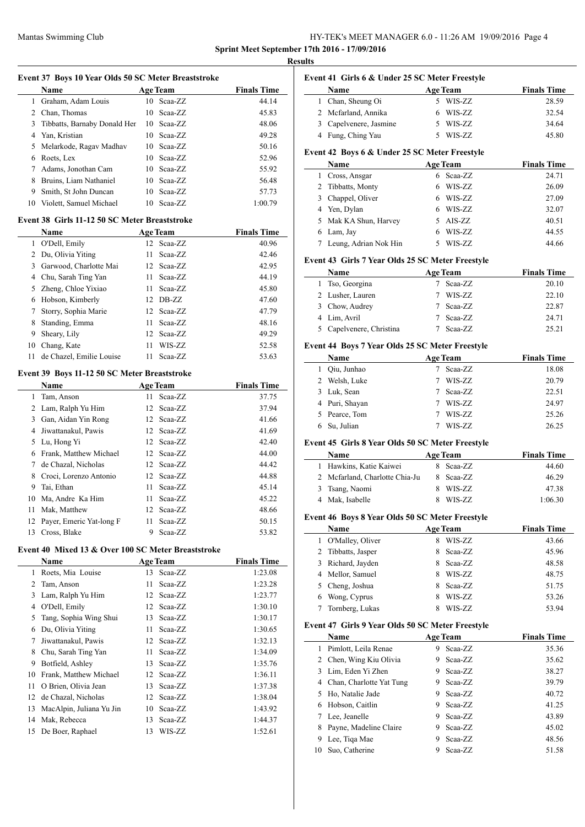# Mantas Swimming Club HY-TEK's MEET MANAGER 6.0 - 11:26 AM 19/09/2016 Page 4

**Event 41 Girls 6 & Under 25 SC Meter Freestyle**

**Sprint Meet September 17th 2016 - 17/09/2016 Results**

|    | Event 37 Boys 10 Year Olds 50 SC Meter Breaststroke<br>Name |      | <b>Age Team</b>            | <b>Finals Time</b>            |
|----|-------------------------------------------------------------|------|----------------------------|-------------------------------|
| 1  | Graham, Adam Louis                                          | 10   | Scaa-ZZ                    | 44.14                         |
|    | 2 Chan, Thomas                                              | 10   | Scaa-ZZ                    | 45.83                         |
| 3  | Tibbatts, Barnaby Donald Her                                |      | 10 Scaa-ZZ                 | 48.06                         |
|    | 4 Yan, Kristian                                             |      | 10 Scaa-ZZ                 | 49.28                         |
| 5  | Melarkode, Ragav Madhav                                     |      | 10 Scaa-ZZ                 | 50.16                         |
| 6  | Roets, Lex                                                  |      | 10 Scaa-ZZ                 | 52.96                         |
| 7  | Adams, Jonothan Cam                                         |      | 10 Scaa-ZZ                 | 55.92                         |
| 8  | Bruins, Liam Nathaniel                                      |      | 10 Scaa-ZZ                 | 56.48                         |
| 9  | Smith, St John Duncan                                       | 10   | Scaa-ZZ                    | 57.73                         |
| 10 | Violett, Samuel Michael                                     | 10   | Scaa-ZZ                    | 1:00.79                       |
|    |                                                             |      |                            |                               |
|    | Event 38 Girls 11-12 50 SC Meter Breaststroke               |      |                            |                               |
| 1  | Name<br>O'Dell, Emily                                       | 12   | <b>Age Team</b><br>Scaa-ZZ | <b>Finals Time</b><br>40.96   |
| 2  | Du, Olivia Yiting                                           | 11   | Scaa-ZZ                    | 42.46                         |
|    |                                                             |      |                            |                               |
| 3  | Garwood, Charlotte Mai                                      | 12   | Scaa-ZZ                    | 42.95                         |
|    | 4 Chu, Sarah Ting Yan                                       | 11 - | Scaa-ZZ                    | 44.19                         |
| 5  | Zheng, Chloe Yixiao                                         | 11 - | Scaa-ZZ                    | 45.80                         |
| 6  | Hobson, Kimberly                                            |      | 12 DB-ZZ                   | 47.60                         |
| 7  | Storry, Sophia Marie                                        |      | 12 Scaa-ZZ                 | 47.79                         |
| 8  | Standing, Emma                                              | 11 - | Scaa-ZZ                    | 48.16                         |
| 9  | Sheary, Lily                                                |      | 12 Scaa-ZZ                 | 49.29                         |
| 10 | Chang, Kate                                                 | 11   | WIS-ZZ                     | 52.58                         |
| 11 | de Chazel, Emilie Louise                                    | 11   | Scaa-ZZ                    | 53.63                         |
|    | Event 39 Boys 11-12 50 SC Meter Breaststroke                |      |                            |                               |
|    | Name                                                        |      | <b>Age Team</b>            | <b>Finals Time</b>            |
| 1  | Tam, Anson                                                  | 11   | Scaa-ZZ                    | 37.75                         |
| 2  | Lam, Ralph Yu Him                                           | 12   | Scaa-ZZ                    | 37.94                         |
|    | 3 Gan, Aidan Yin Rong                                       |      | 12 Scaa-ZZ                 | 41.66                         |
| 4  | Jiwattanakul, Pawis                                         |      | 12 Scaa-ZZ                 | 41.69                         |
| 5  | Lu, Hong Yi                                                 |      | 12 Scaa-ZZ                 | 42.40                         |
| 6  | Frank, Matthew Michael                                      |      | 12 Scaa-ZZ                 | 44.00                         |
| 7  | de Chazal, Nicholas                                         |      | 12 Scaa-ZZ                 | 44.42                         |
| 8  | Croci, Lorenzo Antonio                                      |      | 12 Scaa-ZZ                 | 44.88                         |
| 9  | Tai, Ethan                                                  | 11   | Scaa-ZZ                    | 45.14                         |
| 10 | Ma, Andre Ka Him                                            | 11   | Scaa-ZZ                    | 45.22                         |
|    | 11 Mak, Matthew                                             |      | 12 Scaa-ZZ                 | 48.66                         |
| 12 | Payer, Emeric Yat-long F                                    | 11   | Scaa-ZZ                    | 50.15                         |
| 13 | Cross, Blake                                                | 9    | Scaa-ZZ                    | 53.82                         |
|    |                                                             |      |                            |                               |
|    | Event 40 Mixed 13 & Over 100 SC Meter Breaststroke          |      |                            |                               |
| 1  | Name<br>Roets, Mia Louise                                   | 13   | <b>Age Team</b><br>Scaa-ZZ | <b>Finals Time</b><br>1:23.08 |
|    |                                                             |      |                            |                               |
| 2  | Tam, Anson                                                  | 11   | Scaa-ZZ                    | 1:23.28                       |
| 3  | Lam, Ralph Yu Him                                           | 12   | Scaa-ZZ                    | 1:23.77                       |
|    | 4 O'Dell, Emily                                             |      | 12 Scaa-ZZ                 | 1:30.10                       |
|    | Tang, Sophia Wing Shui                                      |      | 13 Scaa-ZZ                 | 1:30.17                       |
| 5  | Du, Olivia Yiting                                           | 11   | Scaa-ZZ                    | 1:30.65                       |
| 6  |                                                             |      | 12 Scaa-ZZ                 | 1:32.13                       |
| 7  | Jiwattanakul, Pawis                                         |      |                            | 1:34.09                       |
| 8  | Chu, Sarah Ting Yan                                         | 11   | Scaa-ZZ                    |                               |
| 9  | Botfield, Ashley                                            | 13   | Scaa-ZZ                    | 1:35.76                       |
| 10 | Frank, Matthew Michael                                      | 12   | Scaa-ZZ                    | 1:36.11                       |
| 11 | O Brien, Olivia Jean                                        | 13   | Scaa-ZZ                    | 1:37.38                       |
| 12 | de Chazal, Nicholas                                         | 12   | Scaa-ZZ                    | 1:38.04                       |
| 13 | MacAlpin, Juliana Yu Jin                                    | 10   | Scaa-ZZ                    | 1:43.92                       |
| 14 | Mak, Rebecca                                                | 13   | Scaa-ZZ                    | 1:44.37                       |
| 15 | De Boer, Raphael                                            | 13   | WIS-ZZ                     | 1:52.61                       |

|   | Name                                                     | <b>Age Team</b> |                 | <b>Finals Time</b> |
|---|----------------------------------------------------------|-----------------|-----------------|--------------------|
|   | 1 Chan, Sheung Oi                                        |                 | 5 WIS-ZZ        | 28.59              |
|   | 2 Mcfarland, Annika                                      |                 | 6 WIS-ZZ        | 32.54              |
|   | 3 Capelvenere, Jasmine                                   |                 | 5 WIS-ZZ        | 34.64              |
|   | 4 Fung, Ching Yau                                        |                 | 5 WIS-ZZ        | 45.80              |
|   | Event 42 Boys 6 & Under 25 SC Meter Freestyle            |                 |                 |                    |
|   | Name                                                     | <b>Age Team</b> |                 | <b>Finals Time</b> |
| 1 | Cross, Ansgar                                            |                 | 6 Scaa-ZZ       | 24.71              |
|   | 2 Tibbatts, Monty                                        |                 | 6 WIS-ZZ        | 26.09              |
|   | 3 Chappel, Oliver                                        |                 | 6 WIS-ZZ        | 27.09              |
|   | 4 Yen, Dylan                                             |                 | 6 WIS-ZZ        | 32.07              |
|   |                                                          |                 |                 | 40.51              |
|   | 5 Mak KA Shun, Harvey                                    |                 | 5 AIS-ZZ        |                    |
|   | 6 Lam, Jay                                               |                 | 6 WIS-ZZ        | 44.55              |
| 7 | Leung, Adrian Nok Hin                                    |                 | 5 WIS-ZZ        | 44.66              |
|   | Event 43 Girls 7 Year Olds 25 SC Meter Freestyle         |                 |                 |                    |
|   | Name                                                     | <b>Age Team</b> |                 | <b>Finals Time</b> |
|   | 1 Tso, Georgina                                          |                 | 7 Scaa-ZZ       | 20.10              |
|   | 2 Lusher, Lauren                                         |                 | 7 WIS-ZZ        | 22.10              |
|   | 3 Chow, Audrey                                           |                 | 7 Scaa-ZZ       | 22.87              |
|   | 4 Lim, Avril                                             |                 | 7 Scaa-ZZ       | 24.71              |
| 5 | Capelvenere, Christina                                   |                 | 7 Scaa-ZZ       | 25.21              |
|   | Event 44 Boys 7 Year Olds 25 SC Meter Freestyle          |                 |                 |                    |
|   | <b>Name</b>                                              |                 | <b>Age Team</b> | <b>Finals Time</b> |
|   | 1 Qiu, Junhao                                            | 7               | Scaa-ZZ         | 18.08              |
|   | 2 Welsh, Luke                                            |                 | 7 WIS-ZZ        | 20.79              |
|   | 3 Luk, Sean                                              |                 | 7 Scaa-ZZ       | 22.51              |
|   | 4 Puri, Shayan                                           |                 | 7 WIS-ZZ        | 24.97              |
|   |                                                          |                 |                 |                    |
|   | 5 Pearce, Tom                                            |                 | 7 WIS-ZZ        | 25.26              |
| 6 | Su, Julian                                               | 7               | WIS-ZZ          | 26.25              |
|   |                                                          |                 |                 |                    |
|   | Event 45 Girls 8 Year Olds 50 SC Meter Freestyle<br>Name |                 | <b>Age Team</b> | <b>Finals Time</b> |
|   | 1 Hawkins, Katie Kaiwei                                  |                 | 8 Scaa-ZZ       | 44.60              |
|   | 2 Mcfarland, Charlotte Chia-Ju                           |                 | 8 Scaa-ZZ       | 46.29              |
| 3 | Tsang, Naomi                                             |                 | 8 WIS-ZZ        | 47.38              |
|   | 4 Mak, Isabelle                                          | 8               | WIS-ZZ          | 1:06.30            |
|   |                                                          |                 |                 |                    |
|   | Event 46 Boys 8 Year Olds 50 SC Meter Freestyle          |                 |                 |                    |
|   | Name                                                     | <b>Age Team</b> |                 | <b>Finals Time</b> |
| 1 | O'Malley, Oliver                                         | 8               | WIS-ZZ          | 43.66              |
| 2 | Tibbatts, Jasper                                         | 8               | Scaa-ZZ         | 45.96              |
| 3 | Richard, Jayden                                          |                 | 8 Scaa-ZZ       | 48.58              |
|   | 4 Mellor, Samuel                                         |                 | 8 WIS-ZZ        | 48.75              |
| 5 | Cheng, Joshua                                            |                 | 8 Scaa-ZZ       | 51.75              |
| 6 | Wong, Cyprus                                             | 8               | WIS-ZZ          | 53.26              |
| 7 | Tornberg, Lukas                                          | 8               | WIS-ZZ          | 53.94              |
|   | Event 47 Girls 9 Year Olds 50 SC Meter Freestyle         |                 |                 |                    |
|   | Name                                                     | <b>Age Team</b> |                 | <b>Finals Time</b> |
| 1 | Pimlott, Leila Renae                                     | 9               | Scaa-ZZ         | 35.36              |
|   | 2 Chen, Wing Kiu Olivia                                  | 9.              | Scaa-ZZ         | 35.62              |
| 3 | Lim, Eden Yi Zhen                                        |                 | 9 Scaa-ZZ       | 38.27              |
|   | 4 Chan, Charlotte Yat Tung                               |                 | 9 Scaa-ZZ       | 39.79              |
| 5 | Ho, Natalie Jade                                         |                 | 9 Scaa-ZZ       | 40.72              |
| 6 | Hobson, Caitlin                                          |                 | 9 Scaa-ZZ       | 41.25              |
| 7 | Lee, Jeanelle                                            |                 | 9 Scaa-ZZ       | 43.89              |
| 8 | Payne, Madeline Claire                                   |                 | 9 Scaa-ZZ       | 45.02              |
| 9 | Lee, Tiqa Mae                                            | 9               | Scaa-ZZ         | 48.56              |